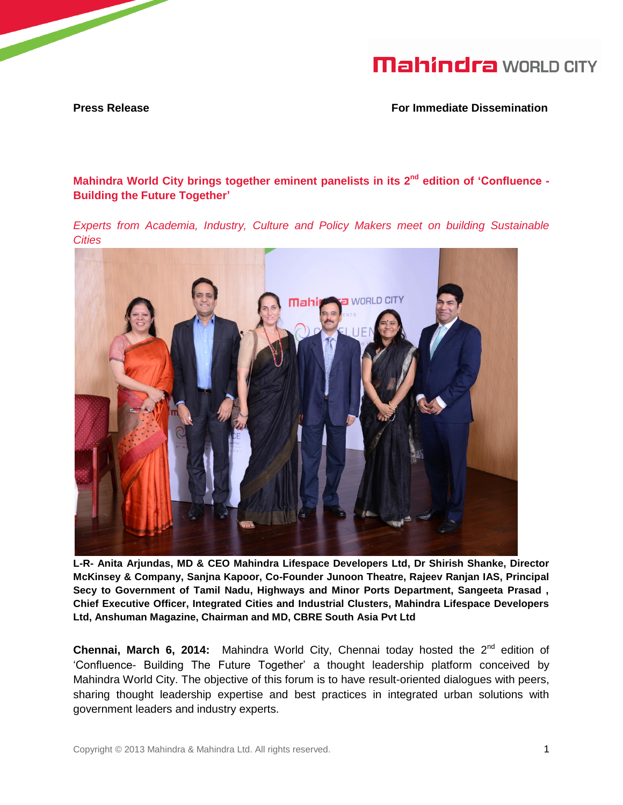**Press Release For Immediate Dissemination**

**Mahindra World City brings together eminent panelists in its 2 nd edition of 'Confluence - Building the Future Together'**

*Experts from Academia, Industry, Culture and Policy Makers meet on building Sustainable Cities*



**L-R- Anita Arjundas, MD & CEO Mahindra Lifespace Developers Ltd, Dr Shirish Shanke, Director McKinsey & Company, Sanjna Kapoor, Co-Founder Junoon Theatre, Rajeev Ranjan IAS, Principal Secy to Government of Tamil Nadu, Highways and Minor Ports Department, Sangeeta Prasad , Chief Executive Officer, Integrated Cities and Industrial Clusters, Mahindra Lifespace Developers Ltd, Anshuman Magazine, Chairman and MD, CBRE South Asia Pvt Ltd**

**Chennai, March 6, 2014:** Mahindra World City, Chennai today hosted the 2<sup>nd</sup> edition of 'Confluence- Building The Future Together' a thought leadership platform conceived by Mahindra World City. The objective of this forum is to have result-oriented dialogues with peers, sharing thought leadership expertise and best practices in integrated urban solutions with government leaders and industry experts.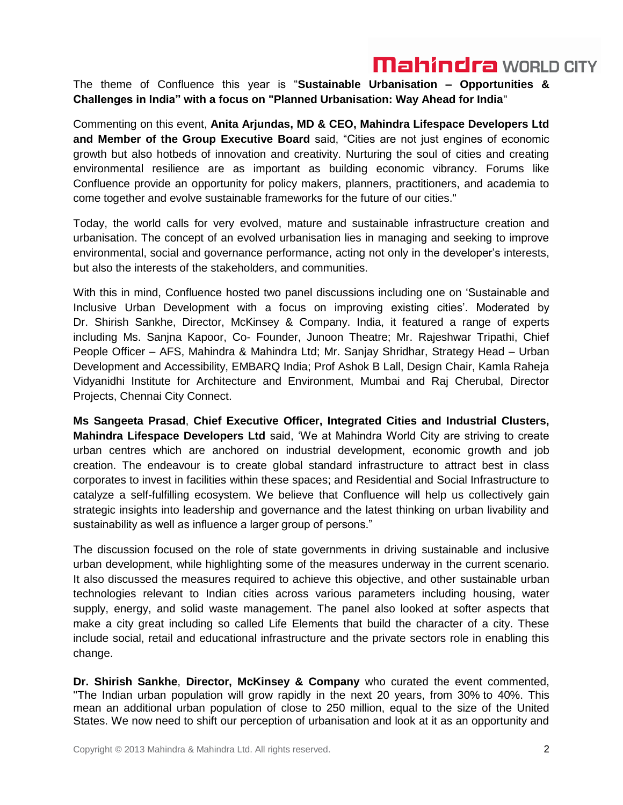The theme of Confluence this year is "**Sustainable Urbanisation – Opportunities & Challenges in India" with a focus on "Planned Urbanisation: Way Ahead for India**"

Commenting on this event, **Anita Arjundas, MD & CEO, Mahindra Lifespace Developers Ltd and Member of the Group Executive Board** said, "Cities are not just engines of economic growth but also hotbeds of innovation and creativity. Nurturing the soul of cities and creating environmental resilience are as important as building economic vibrancy. Forums like Confluence provide an opportunity for policy makers, planners, practitioners, and academia to come together and evolve sustainable frameworks for the future of our cities."

Today, the world calls for very evolved, mature and sustainable infrastructure creation and urbanisation. The concept of an evolved urbanisation lies in managing and seeking to improve environmental, social and governance performance, acting not only in the developer's interests, but also the interests of the stakeholders, and communities.

With this in mind, Confluence hosted two panel discussions including one on 'Sustainable and Inclusive Urban Development with a focus on improving existing cities'. Moderated by Dr. Shirish Sankhe, Director, McKinsey & Company. India, it featured a range of experts including Ms. Sanjna Kapoor, Co- Founder, Junoon Theatre; Mr. Rajeshwar Tripathi, Chief People Officer – AFS, Mahindra & Mahindra Ltd; Mr. Sanjay Shridhar, Strategy Head – Urban Development and Accessibility, EMBARQ India; Prof Ashok B Lall, Design Chair, Kamla Raheja Vidyanidhi Institute for Architecture and Environment, Mumbai and Raj Cherubal, Director Projects, Chennai City Connect.

**Ms Sangeeta Prasad**, **Chief Executive Officer, Integrated Cities and Industrial Clusters, Mahindra Lifespace Developers Ltd** said, 'We at Mahindra World City are striving to create urban centres which are anchored on industrial development, economic growth and job creation. The endeavour is to create global standard infrastructure to attract best in class corporates to invest in facilities within these spaces; and Residential and Social Infrastructure to catalyze a self-fulfilling ecosystem. We believe that Confluence will help us collectively gain strategic insights into leadership and governance and the latest thinking on urban livability and sustainability as well as influence a larger group of persons."

The discussion focused on the role of state governments in driving sustainable and inclusive urban development, while highlighting some of the measures underway in the current scenario. It also discussed the measures required to achieve this objective, and other sustainable urban technologies relevant to Indian cities across various parameters including housing, water supply, energy, and solid waste management. The panel also looked at softer aspects that make a city great including so called Life Elements that build the character of a city. These include social, retail and educational infrastructure and the private sectors role in enabling this change.

**Dr. Shirish Sankhe**, **Director, McKinsey & Company** who curated the event commented, ''The Indian urban population will grow rapidly in the next 20 years, from 30% to 40%. This mean an additional urban population of close to 250 million, equal to the size of the United States. We now need to shift our perception of urbanisation and look at it as an opportunity and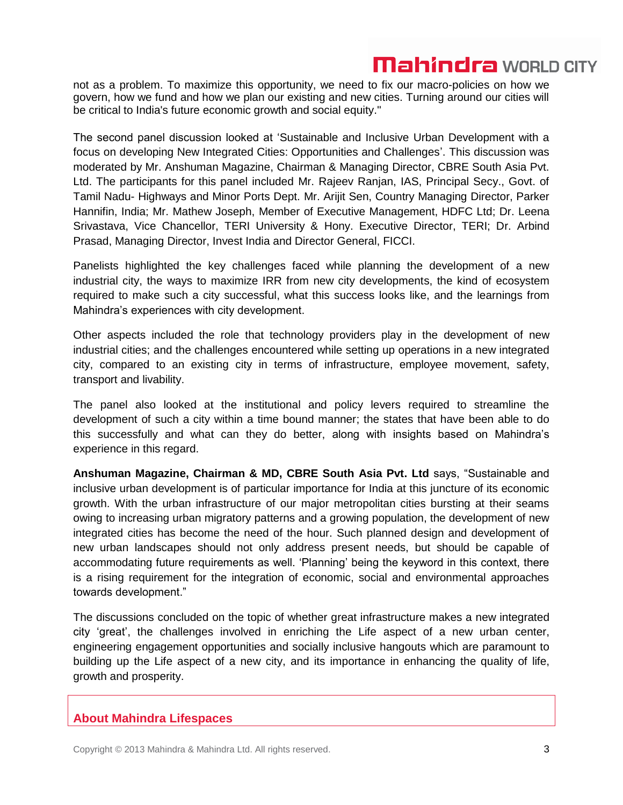not as a problem. To maximize this opportunity, we need to fix our macro-policies on how we govern, how we fund and how we plan our existing and new cities. Turning around our cities will be critical to India's future economic growth and social equity."

The second panel discussion looked at 'Sustainable and Inclusive Urban Development with a focus on developing New Integrated Cities: Opportunities and Challenges'. This discussion was moderated by Mr. Anshuman Magazine, Chairman & Managing Director, CBRE South Asia Pvt. Ltd. The participants for this panel included Mr. Rajeev Ranjan, IAS, Principal Secy., Govt. of Tamil Nadu- Highways and Minor Ports Dept. Mr. Arijit Sen, Country Managing Director, Parker Hannifin, India; Mr. Mathew Joseph, Member of Executive Management, HDFC Ltd; Dr. Leena Srivastava, Vice Chancellor, TERI University & Hony. Executive Director, TERI; Dr. Arbind Prasad, Managing Director, Invest India and Director General, FICCI.

Panelists highlighted the key challenges faced while planning the development of a new industrial city, the ways to maximize IRR from new city developments, the kind of ecosystem required to make such a city successful, what this success looks like, and the learnings from Mahindra's experiences with city development.

Other aspects included the role that technology providers play in the development of new industrial cities; and the challenges encountered while setting up operations in a new integrated city, compared to an existing city in terms of infrastructure, employee movement, safety, transport and livability.

The panel also looked at the institutional and policy levers required to streamline the development of such a city within a time bound manner; the states that have been able to do this successfully and what can they do better, along with insights based on Mahindra's experience in this regard.

**Anshuman Magazine, Chairman & MD, CBRE South Asia Pvt. Ltd** says, "Sustainable and inclusive urban development is of particular importance for India at this juncture of its economic growth. With the urban infrastructure of our major metropolitan cities bursting at their seams owing to increasing urban migratory patterns and a growing population, the development of new integrated cities has become the need of the hour. Such planned design and development of new urban landscapes should not only address present needs, but should be capable of accommodating future requirements as well. 'Planning' being the keyword in this context, there is a rising requirement for the integration of economic, social and environmental approaches towards development."

The discussions concluded on the topic of whether great infrastructure makes a new integrated city 'great', the challenges involved in enriching the Life aspect of a new urban center, engineering engagement opportunities and socially inclusive hangouts which are paramount to building up the Life aspect of a new city, and its importance in enhancing the quality of life, growth and prosperity.

### **About Mahindra Lifespaces**